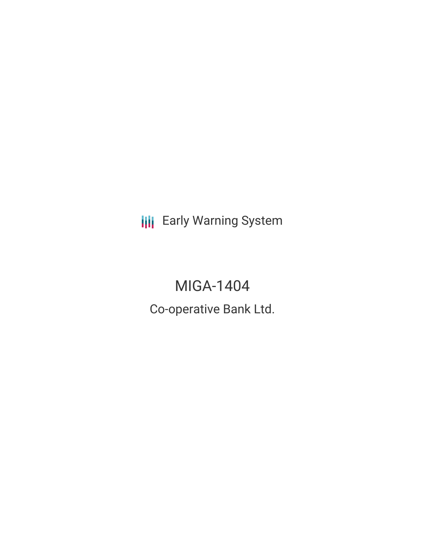**III** Early Warning System

# MIGA-1404

Co-operative Bank Ltd.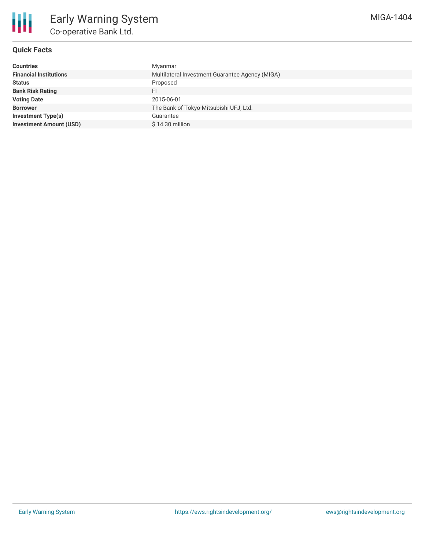

# **Quick Facts**

| <b>Countries</b>               | Myanmar                                         |
|--------------------------------|-------------------------------------------------|
| <b>Financial Institutions</b>  | Multilateral Investment Guarantee Agency (MIGA) |
| <b>Status</b>                  | Proposed                                        |
| <b>Bank Risk Rating</b>        | FI                                              |
| <b>Voting Date</b>             | 2015-06-01                                      |
| <b>Borrower</b>                | The Bank of Tokyo-Mitsubishi UFJ, Ltd.          |
| <b>Investment Type(s)</b>      | Guarantee                                       |
| <b>Investment Amount (USD)</b> | $$14.30$ million                                |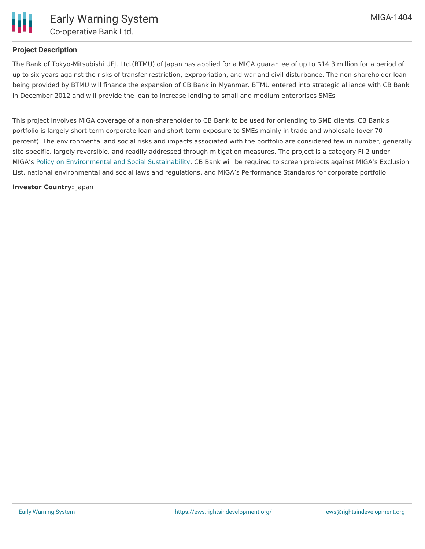

## **Project Description**

The Bank of Tokyo-Mitsubishi UFJ, Ltd.(BTMU) of Japan has applied for a MIGA guarantee of up to \$14.3 million for a period of up to six years against the risks of transfer restriction, expropriation, and war and civil disturbance. The non-shareholder loan being provided by BTMU will finance the expansion of CB Bank in Myanmar. BTMU entered into strategic alliance with CB Bank in December 2012 and will provide the loan to increase lending to small and medium enterprises SMEs

This project involves MIGA coverage of a non-shareholder to CB Bank to be used for onlending to SME clients. CB Bank's portfolio is largely short-term corporate loan and short-term exposure to SMEs mainly in trade and wholesale (over 70 percent). The environmental and social risks and impacts associated with the portfolio are considered few in number, generally site-specific, largely reversible, and readily addressed through mitigation measures. The project is a category FI-2 under MIGA's Policy on [Environmental](http://www.miga.org/documents/Policy_Environmental_Social_Sustainability.pdf) and Social Sustainability. CB Bank will be required to screen projects against MIGA's Exclusion List, national environmental and social laws and regulations, and MIGA's Performance Standards for corporate portfolio.

#### **Investor Country:** Japan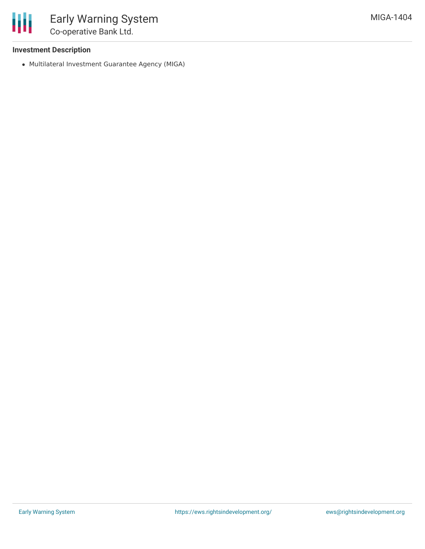

# **Investment Description**

Multilateral Investment Guarantee Agency (MIGA)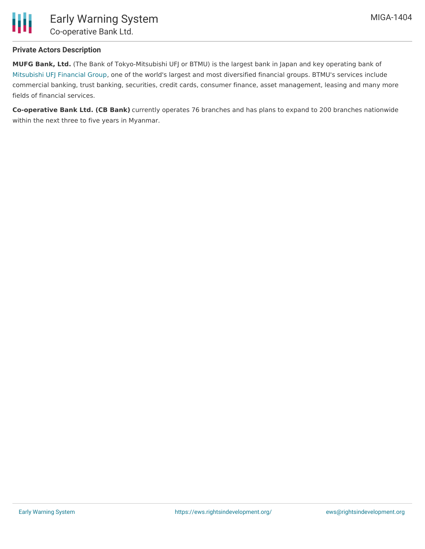

## **Private Actors Description**

**MUFG Bank, Ltd.** (The Bank of Tokyo-Mitsubishi UFJ or BTMU) is the largest bank in Japan and key operating bank of [Mitsubishi](http://geofinances.com/listing/mufg) UFJ Financial Group, one of the world's largest and most diversified financial groups. BTMU's services include commercial banking, trust banking, securities, credit cards, consumer finance, asset management, leasing and many more fields of financial services.

**Co-operative Bank Ltd. (CB Bank)** currently operates 76 branches and has plans to expand to 200 branches nationwide within the next three to five years in Myanmar.